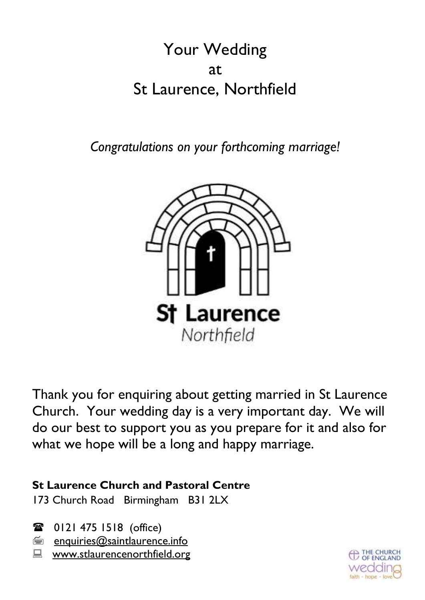# Your Wedding at St Laurence, Northfield

*Congratulations on your forthcoming marriage!*



Thank you for enquiring about getting married in St Laurence Church. Your wedding day is a very important day. We will do our best to support you as you prepare for it and also for what we hope will be a long and happy marriage.

## **St Laurence Church and Pastoral Centre**

173 Church Road Birmingham B31 2LX

**■ 0121 475 1518 (office)** 

- $\equiv$  enquiries@saintlaurence.info
- **E** [www.stlaurencenorthfield.org](about:blank)

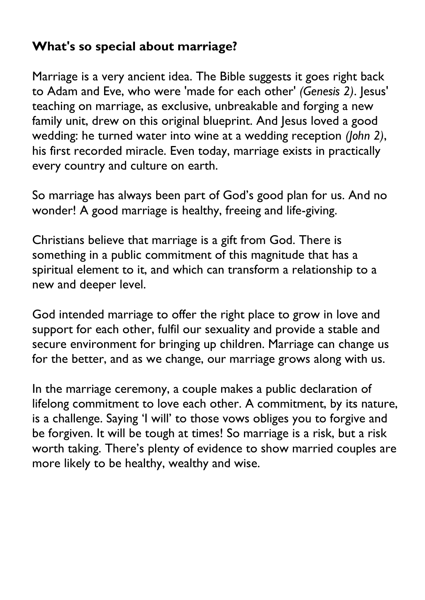# **What's so special about marriage?**

Marriage is a very ancient idea. The Bible suggests it goes right back to Adam and Eve, who were 'made for each other' *(Genesis 2)*. Jesus' teaching on marriage, as exclusive, unbreakable and forging a new family unit, drew on this original blueprint. And Jesus loved a good wedding: he turned water into wine at a wedding reception *(John 2)*, his first recorded miracle. Even today, marriage exists in practically every country and culture on earth.

So marriage has always been part of God's good plan for us. And no wonder! A good marriage is healthy, freeing and life-giving.

Christians believe that marriage is a gift from God. There is something in a public commitment of this magnitude that has a spiritual element to it, and which can transform a relationship to a new and deeper level.

God intended marriage to offer the right place to grow in love and support for each other, fulfil our sexuality and provide a stable and secure environment for bringing up children. Marriage can change us for the better, and as we change, our marriage grows along with us.

In the marriage ceremony, a couple makes a public declaration of lifelong commitment to love each other. A commitment, by its nature, is a challenge. Saying 'I will' to those vows obliges you to forgive and be forgiven. It will be tough at times! So marriage is a risk, but a risk worth taking. There's plenty of evidence to show married couples are more likely to be healthy, wealthy and wise.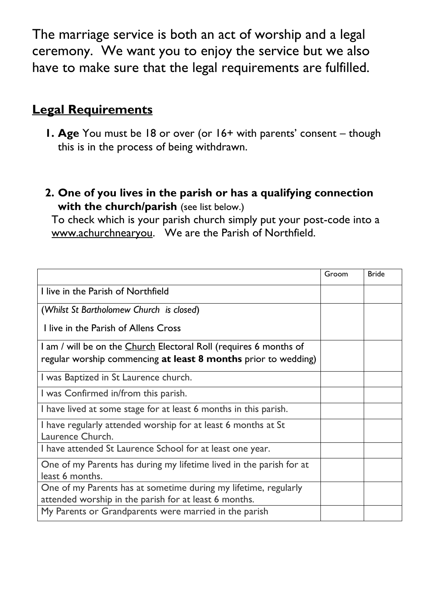The marriage service is both an act of worship and a legal ceremony. We want you to enjoy the service but we also have to make sure that the legal requirements are fulfilled.

# **Legal Requirements**

- **1. Age** You must be 18 or over (or 16+ with parents' consent though this is in the process of being withdrawn.
- **2. One of you lives in the parish or has a qualifying connection with the church/parish** (see list below.)

To check which is your parish church simply put your post-code into a [www.achurchnearyou.](about:blank) We are the Parish of Northfield.

|                                                                                                                                     | Groom | <b>Bride</b> |
|-------------------------------------------------------------------------------------------------------------------------------------|-------|--------------|
| I live in the Parish of Northfield                                                                                                  |       |              |
| (Whilst St Bartholomew Church is closed)                                                                                            |       |              |
| I live in the Parish of Allens Cross                                                                                                |       |              |
| I am / will be on the Church Electoral Roll (requires 6 months of<br>regular worship commencing at least 8 months prior to wedding) |       |              |
| I was Baptized in St Laurence church.                                                                                               |       |              |
| I was Confirmed in/from this parish.                                                                                                |       |              |
| I have lived at some stage for at least 6 months in this parish.                                                                    |       |              |
| I have regularly attended worship for at least 6 months at St<br>Laurence Church.                                                   |       |              |
| I have attended St Laurence School for at least one year.                                                                           |       |              |
| One of my Parents has during my lifetime lived in the parish for at<br>least 6 months.                                              |       |              |
| One of my Parents has at sometime during my lifetime, regularly<br>attended worship in the parish for at least 6 months.            |       |              |
| My Parents or Grandparents were married in the parish                                                                               |       |              |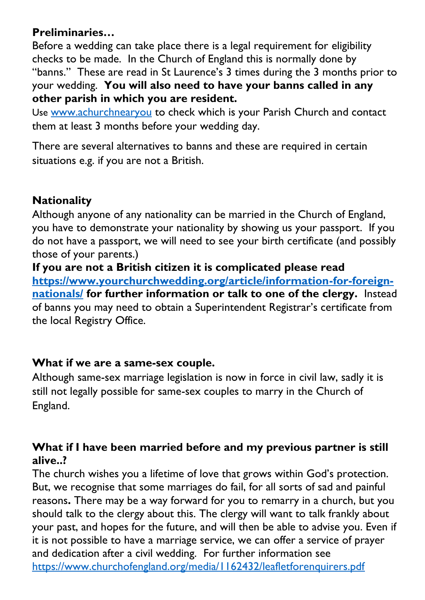## **Preliminaries…**

Before a wedding can take place there is a legal requirement for eligibility checks to be made. In the Church of England this is normally done by "banns." These are read in St Laurence's 3 times during the 3 months prior to your wedding. **You will also need to have your banns called in any other parish in which you are resident.** 

Use [www.achurchnearyou](about:blank) to check which is your Parish Church and contact them at least 3 months before your wedding day.

There are several alternatives to banns and these are required in certain situations e.g. if you are not a British.

## **Nationality**

Although anyone of any nationality can be married in the Church of England, you have to demonstrate your nationality by showing us your passport. If you do not have a passport, we will need to see your birth certificate (and possibly those of your parents.)

**If you are not a British citizen it is complicated please read [https://www.yourchurchwedding.org/article/information-for-foreign](about:blank)[nationals/](about:blank) for further information or talk to one of the clergy.** Instead of banns you may need to obtain a Superintendent Registrar's certificate from the local Registry Office.

#### **What if we are a same-sex couple.**

Although same-sex marriage legislation is now in force in civil law, sadly it is still not legally possible for same-sex couples to marry in the Church of England.

#### **What if I have been married before and my previous partner is still alive..?**

The church wishes you a lifetime of love that grows within God's protection. But, we recognise that some marriages do fail, for all sorts of sad and painful reasons**.** There may be a way forward for you to remarry in a church, but you should talk to the clergy about this. The clergy will want to talk frankly about your past, and hopes for the future, and will then be able to advise you. Even if it is not possible to have a marriage service, we can offer a service of prayer and dedication after a civil wedding. For further information see [https://www.churchofengland.org/media/1162432/leafletforenquirers.pdf](about:blank)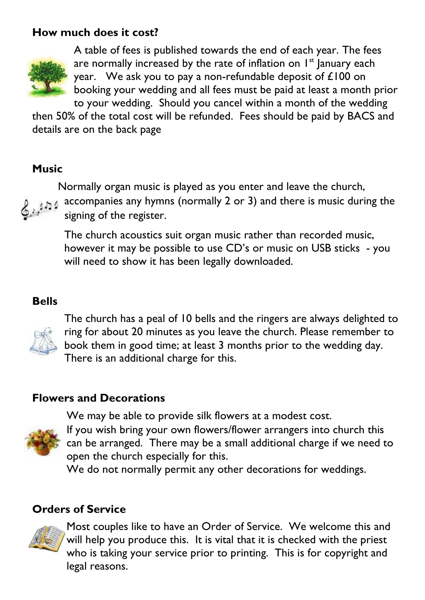## **How much does it cost?**



A table of fees is published towards the end of each year. The fees are normally increased by the rate of inflation on  $I<sup>st</sup>$  January each year. We ask you to pay a non-refundable deposit of £100 on booking your wedding and all fees must be paid at least a month prior to your wedding. Should you cancel within a month of the wedding

then 50% of the total cost will be refunded. Fees should be paid by BACS and details are on the back page

#### **Music**



Normally organ music is played as you enter and leave the church, accompanies any hymns (normally 2 or 3) and there is music during the signing of the register.

The church acoustics suit organ music rather than recorded music, however it may be possible to use CD's or music on USB sticks - you will need to show it has been legally downloaded.

#### **Bells**



The church has a peal of 10 bells and the ringers are always delighted to ring for about 20 minutes as you leave the church. Please remember to book them in good time; at least 3 months prior to the wedding day. There is an additional charge for this.

#### **Flowers and Decorations**



We may be able to provide silk flowers at a modest cost.

If you wish bring your own flowers/flower arrangers into church this can be arranged. There may be a small additional charge if we need to open the church especially for this.

We do not normally permit any other decorations for weddings.

## **Orders of Service**



Most couples like to have an Order of Service. We welcome this and will help you produce this. It is vital that it is checked with the priest who is taking your service prior to printing. This is for copyright and legal reasons.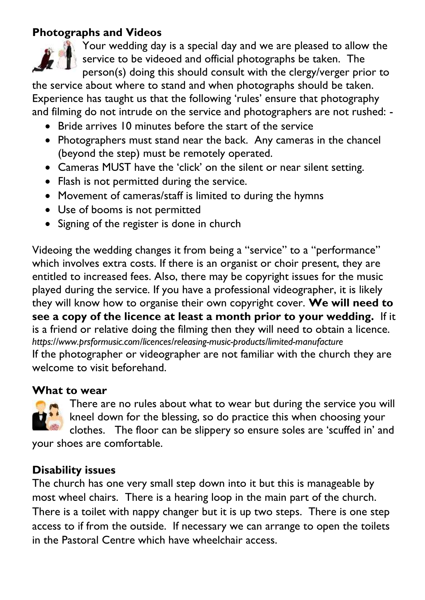#### **Photographs and Videos**



Your wedding day is a special day and we are pleased to allow the service to be videoed and official photographs be taken. The person(s) doing this should consult with the clergy/verger prior to

the service about where to stand and when photographs should be taken. Experience has taught us that the following 'rules' ensure that photography and filming do not intrude on the service and photographers are not rushed: -

- Bride arrives 10 minutes before the start of the service
- Photographers must stand near the back. Any cameras in the chancel (beyond the step) must be remotely operated.
- Cameras MUST have the 'click' on the silent or near silent setting.
- Flash is not permitted during the service.
- Movement of cameras/staff is limited to during the hymns
- Use of booms is not permitted
- Signing of the register is done in church

Videoing the wedding changes it from being a "service" to a "performance" which involves extra costs. If there is an organist or choir present, they are entitled to increased fees. Also, there may be copyright issues for the music played during the service. If you have a professional videographer, it is likely they will know how to organise their own copyright cover. **We will need to see a copy of the licence at least a month prior to your wedding.** If it is a friend or relative doing the filming then they will need to obtain a licence. *https://www.prsformusic.com/licences/releasing-music-products/limited-manufacture* If the photographer or videographer are not familiar with the church they are welcome to visit beforehand.

#### **What to wear**



There are no rules about what to wear but during the service you will kneel down for the blessing, so do practice this when choosing your clothes. The floor can be slippery so ensure soles are 'scuffed in' and your shoes are comfortable.

## **Disability issues**

The church has one very small step down into it but this is manageable by most wheel chairs. There is a hearing loop in the main part of the church. There is a toilet with nappy changer but it is up two steps. There is one step access to if from the outside. If necessary we can arrange to open the toilets in the Pastoral Centre which have wheelchair access.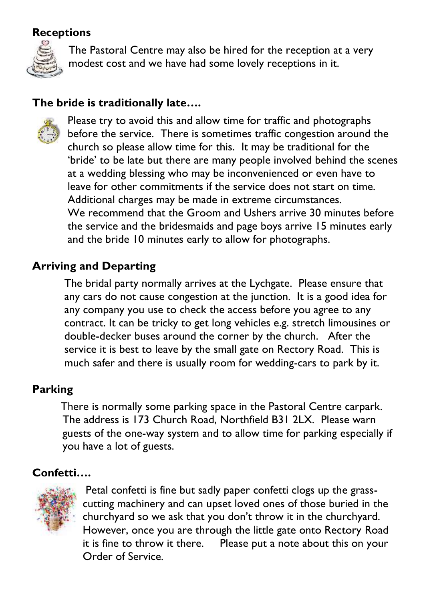#### **Receptions**



The Pastoral Centre may also be hired for the reception at a very modest cost and we have had some lovely receptions in it.

## **The bride is traditionally late….**



Please try to avoid this and allow time for traffic and photographs before the service. There is sometimes traffic congestion around the church so please allow time for this. It may be traditional for the 'bride' to be late but there are many people involved behind the scenes at a wedding blessing who may be inconvenienced or even have to leave for other commitments if the service does not start on time. Additional charges may be made in extreme circumstances. We recommend that the Groom and Ushers arrive 30 minutes before the service and the bridesmaids and page boys arrive 15 minutes early and the bride 10 minutes early to allow for photographs.

## **Arriving and Departing**

The bridal party normally arrives at the Lychgate. Please ensure that any cars do not cause congestion at the junction. It is a good idea for any company you use to check the access before you agree to any contract. It can be tricky to get long vehicles e.g. stretch limousines or double-decker buses around the corner by the church. After the service it is best to leave by the small gate on Rectory Road. This is much safer and there is usually room for wedding-cars to park by it.

#### **Parking**

There is normally some parking space in the Pastoral Centre carpark. The address is 173 Church Road, Northfield B31 2LX. Please warn guests of the one-way system and to allow time for parking especially if you have a lot of guests.

#### **Confetti….**



Petal confetti is fine but sadly paper confetti clogs up the grasscutting machinery and can upset loved ones of those buried in the churchyard so we ask that you don't throw it in the churchyard. However, once you are through the little gate onto Rectory Road it is fine to throw it there. Please put a note about this on your Order of Service.